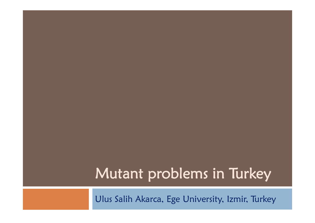## Mutant problems in Turkey

Ulus Salih Akarca, Ege University, Izmir, Turkey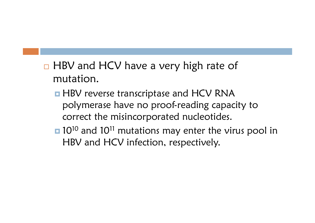- $\Box$  HBV and HCV have a very high rate of mutation.
	- **HBV** reverse transcriptase and HCV RNA polymerase have no proof-reading capacity to correct the misincorporated nucleotides.
	- **10<sup>10</sup>** and 10<sup>11</sup> mutations may enter the virus pool in HBV and HCV infection, respectively.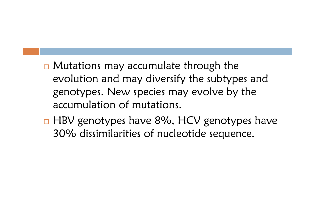- $\Box$  Mutations may accumulate through the evolution and may diversify the subtypes and genotypes. New species may evolve by the accumulation of mutations.
- □ HBV genotypes have 8%, HCV genotypes have 30% dissimilarities of nucleotide sequence.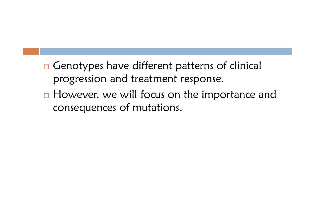- □ Genotypes have different patterns of clinical progression and treatment response.
- □ However, we will focus on the importance and consequences of mutations.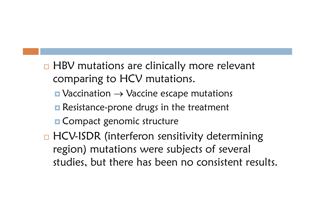- □ HBV mutations are clinically more relevant comparing to HCV mutations.
	- $\blacksquare$  Vaccination  $\rightarrow$  Vaccine escape mutations
	- **Resistance-prone drugs in the treatment**
	- **E** Compact genomic structure
- □ HCV-ISDR (interferon sensitivity determining region) mutations were subjects of several studies, but there has been no consistent results.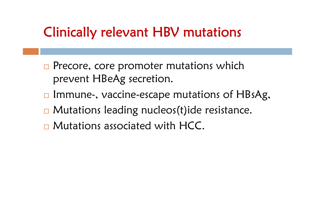## Clinically relevant HBV mutations

- **Precore, core promoter mutations which** prevent HBeAg secretion.
- □ Immune-, vaccine-escape mutations of HBsAg,
- □ Mutations leading nucleos(t)ide resistance.
- □ Mutations associated with HCC.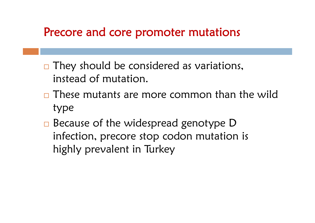### Precore and core promoter mutations

- □ They should be considered as variations, instead of mutation.
- □ These mutants are more common than the wild type
- □ Because of the widespread genotype D infection, precore stop codon mutation is highly prevalent in Turkey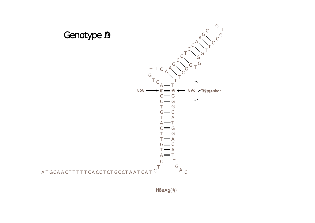



HBeAg(<del>小</del>)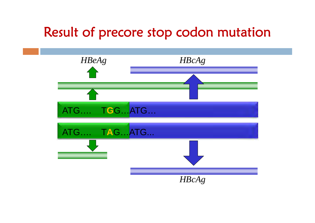### Result of precore stop codon mutation

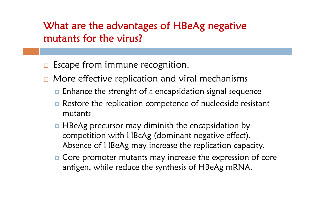#### What are the advantages of HBeAg negative mutants for the virus?

- **E** Escape from immune recognition.
- $\Box$  More effective replication and viral mechanisms
	- $\blacksquare$  Enhance the strenght of  $\varepsilon$  encapsidation signal sequence
	- **Restore the replication competence of nucleoside resistant** mutants
	- **H** HBeAg precursor may diminish the encapsidation by competition with HBcAg (dominant negative effect). Absence of HBeAg may increase the replication capacity.
	- **n** Core promoter mutants may increase the expression of core antigen, while reduce the synthesis of HBeAg mRNA.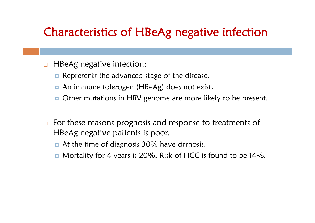### Characteristics of HBeAg negative infection

- $\Box$  HBeAg negative infection:
	- **Represents the advanced stage of the disease.**
	- $\Box$ An immune tolerogen (HBeAg) does not exist.
	- $\Box$ Other mutations in HBV genome are more likely to be present.
- $\Box$  For these reasons prognosis and response to treatments of HBeAg negative patients is poor.
	- At the time of diagnosis 30% have cirrhosis.
	- $\Box$ Mortality for 4 years is 20%, Risk of HCC is found to be 14%.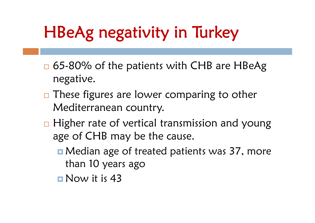# HBeAg negativity in Turkey

- □ 65-80% of the patients with CHB are HBeAg negative.
- $\Box$  These figures are lower comparing to other Mediterranean country.
- □ Higher rate of vertical transmission and young age of CHB may be the cause.
	- **n** Median age of treated patients was 37, more than 10 years ago
	- Now it is 43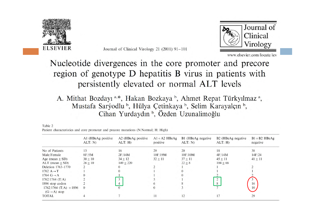

Journal of Clinical Virology 21 (2001) 91-101



www.elsevier.com/locate/jcv

#### Nucleotide divergences in the core promoter and precore region of genotype D hepatitis B virus in patients with persistently elevated or normal ALT levels

A. Mithat Bozdayı<sup>a,\*</sup>, Hakan Bozkaya<sup>b</sup>, Ahmet Repat Türkyılmaz<sup>a</sup>, Mustafa Sarýodlu<sup>b</sup>, Hülya Çetinkaya<sup>b</sup>, Selim Karayalçın<sup>b</sup>, Cihan Yurdaydın<sup>b</sup>, Özden Uzunalimoğlu

|                                                       | A1 (HBeAg positive<br>ALT: N | A2 (HBeAg positive<br>ALT: H | $A1 + A2$ HBe $Ag$<br>positive | B1 (HBeAg negative<br>ALT: N | B <sub>2</sub> (HBeAg negative<br>ALT: H | $B1 + B2$ HBeAg<br>negative |
|-------------------------------------------------------|------------------------------|------------------------------|--------------------------------|------------------------------|------------------------------------------|-----------------------------|
| No of Patients                                        | 13                           | 16                           | 29                             | 20                           | 18                                       | 38                          |
| Male/Female                                           | 8F/5M                        | 2F/14M                       | 10F/19M                        | 10F/10M                      | 4F/14M                                   | 14F/24                      |
| Age (mean $\pm$ SD)                                   | $30 + 10$                    | $34 \pm 12$                  | $32 + 11$                      | $37 + 11$                    | $45 + 11$                                | $41 \pm 11$                 |
| $ALT$ (mean $+$ SD)                                   | $26 + 10$                    | $149 + 220$                  |                                | $22 + 8$                     | $104 + 66$                               |                             |
| Deletion 1763-1770                                    |                              |                              |                                |                              |                                          |                             |
| 1762 $A \rightarrow T$                                |                              |                              |                                |                              |                                          |                             |
| 1764 $G \rightarrow A$                                |                              |                              |                                |                              |                                          |                             |
| $1762/1764$ (T/A)                                     |                              | 3                            |                                |                              |                                          |                             |
| 1896 stop codon                                       |                              | $\overline{4}$               |                                |                              |                                          | 16                          |
| $1762/1764$ (T/A) $+1896$<br>$(G \rightarrow A)$ stop | $\theta$                     | $\mathbf{0}$                 |                                |                              |                                          | 10                          |
| <b>TOTAL</b>                                          |                              |                              |                                | 12                           |                                          | 29                          |

Table 2 Patient characteristics and core promoter and precore mutations (N:Normal: H: High)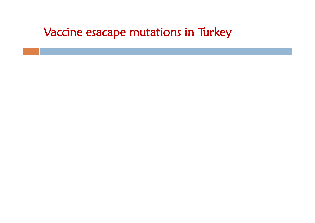### Vaccine esacape mutations in Turkey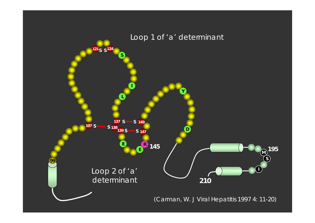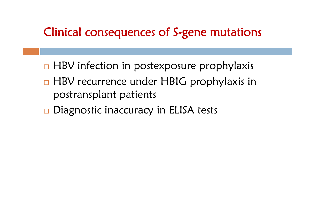### Clinical consequences of S-gene mutations

- □ HBV infection in postexposure prophylaxis
- □ HBV recurrence under HBIG prophylaxis in postransplant patients
- □ Diagnostic inaccuracy in ELISA tests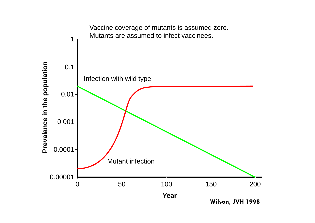

**Wilson, JVH 1998**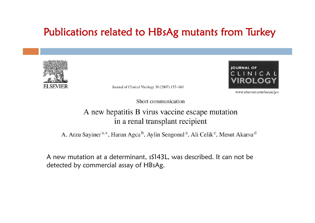#### Publications related to HBsAg mutants from Turkey



Journal of Clinical Virology 38 (2007) 157-160



www.elsevier.com/locate/jcv

Short communication

#### A new hepatitis B virus vaccine escape mutation in a renal transplant recipient

A. Arzu Sayiner<sup>a,\*</sup>, Harun Agca<sup>b</sup>, Aylin Sengonul<sup>a</sup>, Ali Celik<sup>c</sup>, Mesut Akarsu<sup>d</sup>

A new mutation at a determinant, sS143L, was described. It can not be detected by commercial assay of HBsAg.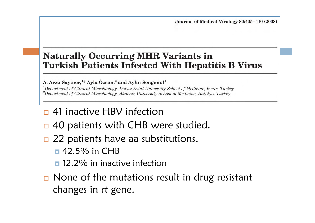#### **Naturally Occurring MHR Variants in Turkish Patients Infected With Hepatitis B Virus**

A. Arzu Sayiner,<sup>1\*</sup> Ayla Özcan,<sup>2</sup> and Aylin Sengonul<sup>1</sup>

<sup>1</sup>Department of Clinical Microbiology, Dokuz Eylul University School of Medicine, Izmir, Turkey <sup>2</sup>Department of Clinical Microbiology, Akdeniz University School of Medicine, Antalya, Turkey

- □ 41 inactive HBV infection
- $\Box$ 40 patients with CHB were studied.
- □ 22 patients have aa substitutions.
	- $\Box$  42.5% in CHB
	- **□** 12.2% in inactive infection
- □ None of the mutations result in drug resistant changes in rt gene.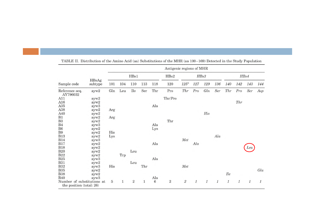|                                                          |                  |                |              |                |              |       | Antigenic regions of MHR |                                         |              |               |              |               |     |               |     |
|----------------------------------------------------------|------------------|----------------|--------------|----------------|--------------|-------|--------------------------|-----------------------------------------|--------------|---------------|--------------|---------------|-----|---------------|-----|
|                                                          |                  |                |              | HBs1           |              |       | HBs2                     |                                         |              | HBs3          |              |               |     | HBs4          |     |
| Sample code                                              | HBsAg<br>subtype | 101            | 104          | 110            | 113          | 118   | 120                      | $125^{\mathrm{a}}$                      | 127          | 129           | 136          | 140           | 142 | 143           | 144 |
| Reference seq.<br>AY796032                               | ayw2             | Gln            | Leu          | Ile            | Ser          | Thr   | Pro                      | Thr                                     | Pro          | Gln           | Ser          | Thr           | Pro | Ser           | Asp |
| A11                                                      | ayw2             |                |              |                |              |       | Thr/Pro                  |                                         |              |               |              |               |     |               |     |
| A16                                                      | ayw2             |                |              |                |              |       |                          |                                         |              |               |              |               | Thr |               |     |
| A35                                                      | ayw <sub>3</sub> |                |              |                |              | Ala   |                          |                                         |              |               |              |               |     |               |     |
| A38                                                      | ayw2             | Arg            |              |                |              |       |                          |                                         |              |               |              |               |     |               |     |
| A40                                                      | ayw2             |                |              |                |              |       |                          |                                         |              | His           |              |               |     |               |     |
| B1                                                       | ayw2             | Arg            |              |                |              |       |                          |                                         |              |               |              |               |     |               |     |
| B <sub>3</sub>                                           | ayw2             |                |              |                |              |       | Thr                      |                                         |              |               |              |               |     |               |     |
| B <sub>4</sub>                                           | ayw <sub>3</sub> |                |              |                |              | Ala   |                          |                                         |              |               |              |               |     |               |     |
| B <sub>6</sub>                                           | ayw2             |                |              |                |              | Lys   |                          |                                         |              |               |              |               |     |               |     |
| B <sub>9</sub>                                           | ayw2             | His            |              |                |              |       |                          |                                         |              |               |              |               |     |               |     |
| <b>B13</b>                                               | ayw2             | Lys            |              |                |              |       |                          |                                         |              |               | Ala          |               |     |               |     |
| <b>B14</b>                                               | ayw <sub>3</sub> |                |              |                |              |       |                          | $\operatorname{\mathcal{M}\mathit{et}}$ |              |               |              |               |     |               |     |
| <b>B17</b>                                               | ayw2             |                |              |                |              | Ala   |                          |                                         | Ala          |               |              |               |     |               |     |
| <b>B18</b>                                               | ayw2             |                |              |                |              |       |                          |                                         |              |               |              |               |     | Leu           |     |
| <b>B20</b>                                               | ayw2             |                |              | Leu            |              |       |                          |                                         |              |               |              |               |     |               |     |
| <b>B22</b>                                               | ayw2             |                | Trp          |                |              |       |                          |                                         |              |               |              |               |     |               |     |
| <b>B25</b>                                               | ayw3             |                |              |                |              | Ala   |                          |                                         |              |               |              |               |     |               |     |
| B31                                                      | ayw2             |                |              | Leu            |              |       |                          |                                         |              |               |              |               |     |               |     |
| <b>B32</b>                                               | ayw3             | His            |              |                | Thr          |       |                          | Met                                     |              |               |              |               |     |               |     |
| <b>B35</b>                                               | ayw2             |                |              |                |              |       |                          |                                         |              |               |              |               |     |               | Glu |
| <b>B38</b>                                               | ayw2             |                |              |                |              |       |                          |                                         |              |               |              | <b>Ile</b>    |     |               |     |
| <b>B40</b>                                               | ayw <sub>3</sub> |                |              |                |              | Ala   |                          |                                         |              |               |              |               |     |               |     |
| Number of substitutions at<br>the position $(total: 26)$ |                  | $\overline{5}$ | $\mathbf{1}$ | $\overline{2}$ | $\mathbf{1}$ | $\,6$ | $\sqrt{2}$               | $\sqrt{2}$                              | $\mathbf{1}$ | $\mathcal{I}$ | $\mathbf{1}$ | $\mathcal{I}$ | 1   | $\mathcal{I}$ | 1   |

TABLE II. Distribution of the Amino Acid (aa) Substitutions of the MHR (aa 100-169) Detected in the Study Population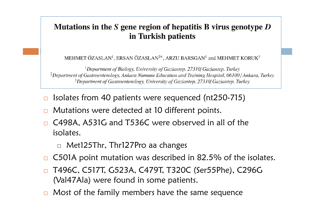#### Mutations in the S gene region of hepatitis B virus genotype  $D$ in Turkish patients

MEHMET ÖZASLAN<sup>1</sup>, ERSAN ÖZASLAN<sup>2\*</sup>, ARZU BARSGAN<sup>1</sup> and MEHMET KORUK<sup>3</sup>

<sup>1</sup>Department of Biology, University of Gaziantep, 27310/Gaziantep, Turkey <sup>2</sup>Department of Gastroenterology, Ankara Numune Education and Training Hospital, 06100/Ankara, Turkey <sup>3</sup>Department of Gastroenterology, University of Gaziantep, 27310/Gaziantep, Turkey

- $\Box$ Isolates from 40 patients were sequenced (nt250-715)
- $\Box$ Mutations were detected at 10 different points.
- $\Box$  C498A, A531G and T536C were observed in all of the isolates.
	- Met125Thr, Thr127Pro aa changes
- $\Box$ C501A point mutation was described in 82.5% of the isolates.
- $\Box$  T496C, C517T, G523A, C479T, T320C (Ser55Phe), C296G (Val47Ala) were found in some patients.
- $\Box$ Most of the family members have the same sequence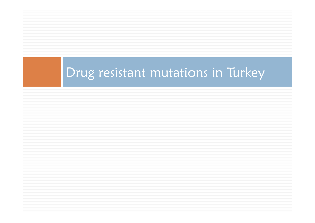## Drug resistant mutations in Turkey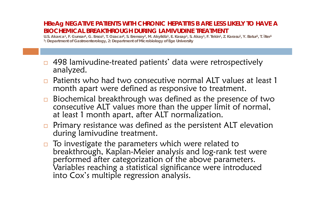#### **HBeAg NEGATIVE PATIENTS WITH CHRONIC HEPATITIS B ARE LESS LIKELY TO HAVE A BIOCHEMICAL BREAKTHROUGH DURING LAMIVUDINE TREATMENT**

**U.S. Akarca1, F. Gunsar1, G. Ersoz1, T. Ozacar2, S. Erensoy2, M. Akyildiz1, E. Kasap1, S. Akay1, F. Tekin1, Z. Karasu1, Y. Batur1, T. İlter1 1: Department of Gastroenterology, 2: Department of Microbiology of Ege University**

- $\Box$  498 lamivudine-treated patients' data were retrospectively analyzed.
- $\Box$  Patients who had two consecutive normal ALT values at least 1 month apart were defined as responsive to treatment.
- $\Box$  Biochemical breakthrough was defined as the presence of two consecutive ALT values more than the upper limit of normal, at least 1 month apart, after ALT normalization.
- $\Box$  Primary resistance was defined as the persistent ALT elevation during lamivudine treatment.
- $\Box$  To investigate the parameters which were related to breakthrough, Kaplan-Meier analysis and log-rank test were performed after categorization of the above parameters. Variables reaching a statistical significance were introduced into Cox's multiple regression analysis.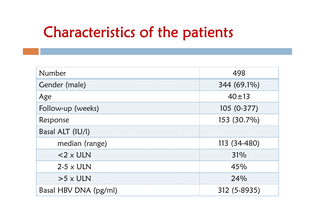## Characteristics of the patients

| Number                | 498          |  |  |  |
|-----------------------|--------------|--|--|--|
| Gender (male)         | 344 (69.1%)  |  |  |  |
| Age                   | $40 \pm 13$  |  |  |  |
| Follow-up (weeks)     | 105 (0-377)  |  |  |  |
| Response              | 153 (30.7%)  |  |  |  |
| Basal ALT (IU/I)      |              |  |  |  |
| median (range)        | 113 (34-480) |  |  |  |
| $<$ 2 x ULN           | 31%          |  |  |  |
| $2-5 \times ULN$      | 45%          |  |  |  |
| $>5 \times ULN$       | 24%          |  |  |  |
| Basal HBV DNA (pg/ml) | 312 (5-8935) |  |  |  |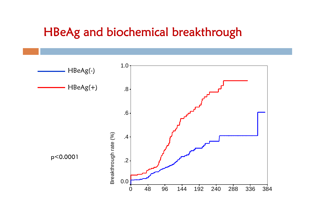### HBeAg and biochemical breakthrough

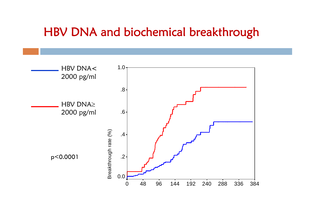### HBV DNA and biochemical breakthrough

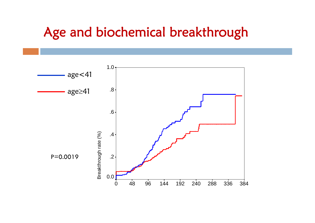### Age and biochemical breakthrough

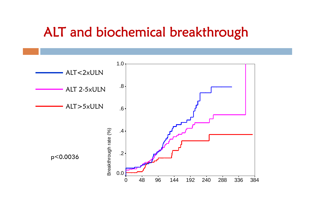### ALT and biochemical breakthrough

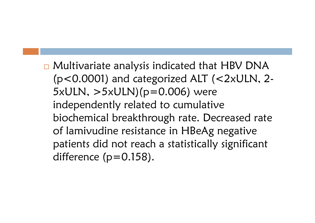□ Multivariate analysis indicated that HBV DNA (p<0.0001) and categorized ALT (<2xULN, 2- 5xULN, >5xULN)(p=0.006) were independently related to cumulative biochemical breakthrough rate. Decreased rate of lamivudine resistance in HBeAg negative patients did not reach a statistically significant difference  $(p=0.158)$ .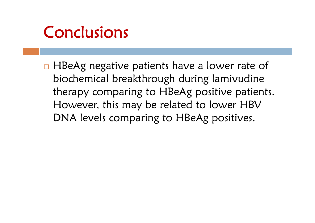# Conclusions

□ HBeAg negative patients have a lower rate of biochemical breakthrough during lamivudine therapy comparing to HBeAg positive patients. However, this may be related to lower HBV DNA levels comparing to HBeAg positives.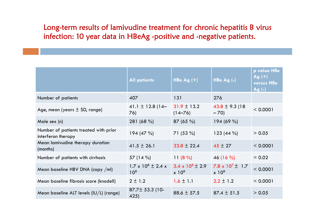Long-term results of lamivudine treatment for chronic hepatitis B virus infection: 10 year data in HBeAg -positive and -negative patients.

|                                                             | <b>All patients</b>                                 | HBe Ag $(+)$                                   | HBe $Ag(-)$                               | p value HBe<br>Ag(t)<br>versus HBe<br>Ag $(-)$ |
|-------------------------------------------------------------|-----------------------------------------------------|------------------------------------------------|-------------------------------------------|------------------------------------------------|
| Number of patients                                          | 407                                                 | 131                                            | 276                                       |                                                |
| Age, mean (years $\pm$ SD, range)                           | 41.1 $\pm$ 12.8 (14–<br>76)                         | $31.9 \pm 13.2$<br>$(14 - 76)$                 | $43.8 \pm 9.3$ (18)<br>$-70$              | < 0.0001                                       |
| Male sex (n)                                                | 281 (68 %)                                          | 87(65%)                                        | 194(69%)                                  |                                                |
| Number of patients treated with prior<br>interferon therapy | 194(47%)                                            | $71(53\%)$                                     | $123(44\%)$                               | > 0.05                                         |
| Mean lamivudine therapy duration<br>(months)                | $41.5 \pm 26.1$                                     | $33.8 \pm 22.4$                                | $45 \pm 27$                               | < 0.0001                                       |
| Number of patients with cirrhosis                           | 57 (14 %)                                           | 11 $(8\%)$                                     | 46 (16 $\%$ )                             | $= 0.02$                                       |
| Mean baseline HBV DNA (copy /ml)                            | $1.7 \times 10^8 \pm 2.4 \times$<br>10 <sup>8</sup> | $3.4 \times 10^8 \pm 2.9$<br>x 10 <sup>8</sup> | 7.8 x $10^7 \pm 1.7$<br>x 10 <sup>8</sup> | < 0.0001                                       |
| Mean baseline fibrosis score (knodell)                      | $2 \pm 1.2$                                         | $1.6 \pm 1.1$                                  | $2.2 \pm 1.2$                             | < 0.0001                                       |
| Mean baseline ALT levels $(IU/L)$ (range)                   | 87.7± 53.3 (10-<br>425)                             | $88.6 \pm 57.5$                                | $87.4 \pm 51.5$                           | > 0.05                                         |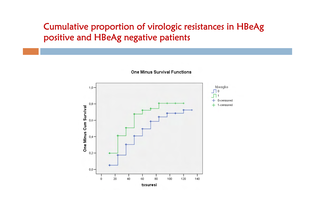#### Cumulative proportion of virologic resistances in HBeAg positive and HBeAg negative patients

**One Minus Survival Functions** 

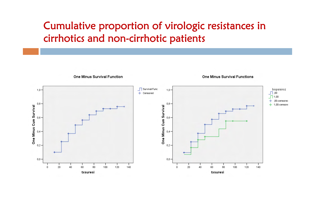#### Cumulative proportion of virologic resistances in cirrhotics and non-cirrhotic patients

**One Minus Survival Function** 



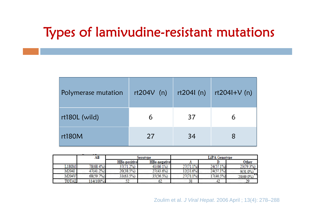## Types of lamivudine-resistant mutations

| Polymerase mutation | $rt204V$ (n) | rt204l(n) | rt204HV(n) |
|---------------------|--------------|-----------|------------|
| rt180L (wild)       | 6            | 37        | 6          |
| rt180M              | 27           | 34        | 8          |

|       | AШ        |                     | Serotype            |           | <b>LiPA</b> Genotype |              |  |  |  |
|-------|-----------|---------------------|---------------------|-----------|----------------------|--------------|--|--|--|
|       |           | <b>HBe-positive</b> | <b>HBe-negative</b> | 44        |                      | Other        |  |  |  |
| L180M | 78(68.4%) | 37(71.2%)           | 41(66.1%)           | 27(71.1%) | 24(57.1%)            | 23(79.3%)    |  |  |  |
| M204I | 47(41.2%) | 20(38.5%)           | 27(43.6%)           | 12(31.6%) | 24(57.1%)            | $9(31.0\%)$  |  |  |  |
| M204V | 68(59.7%) | 33(63.5%)           | 35(56.5%)           | 27(71.1%) | 17(40.5%)            | $20(69.0\%)$ |  |  |  |
| TOTAL | 114(100%) | --                  | 62                  | 76<br>55  | HZ.                  |              |  |  |  |

Zoulim et al. *J Viral Hepat*. 2006 April ; 13(4): 278–288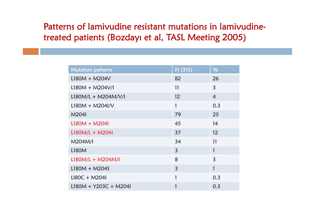#### Patterns of lamivudine resistant mutations in lamivudinetreated patients (Bozdayı et al, TASL Meeting 2005)

| <b>Mutation patterns</b> | N (315)        | $\frac{0}{0}$  |
|--------------------------|----------------|----------------|
| $L180M + M204V$          | 82             | 26             |
| $L180M + M204V/l$        | 11             | $\overline{3}$ |
| $L180M/L + M204M/V/l$    | 12             | $\overline{4}$ |
| $L180M + M2041/V$        | 1              | 0.3            |
| M2041                    | 79             | 25             |
| $L180M + M204I$          | 45             | 14             |
| $L180M/L + M204I$        | 37             | 12             |
| M204M/l                  | 34             | 11             |
| L180M                    | $\overline{3}$ | $\mathbf{1}$   |
| $L180M/L + M204M/l$      | 8              | $\overline{3}$ |
| $L180M + M2045$          | $\overline{3}$ | $\mathbf{1}$   |
| $LI80C + M204I$          | 1              | 0.3            |
| $L180M + Y203C + M204I$  | 1              | 0.3            |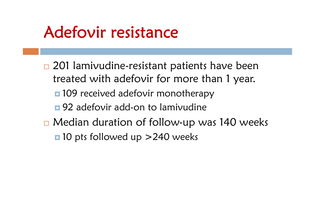## Adefovir resistance

□ 201 lamivudine-resistant patients have been treated with adefovir for more than 1 year. ■ 109 received adefovir monotherapy ■ 92 adefovir add-on to lamivudine □ Median duration of follow-up was 140 weeks ■ 10 pts followed up > 240 weeks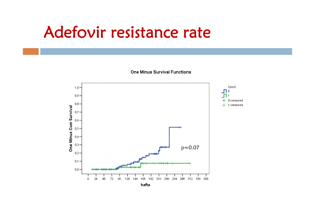## Adefovir resistance rate

**One Minus Survival Functions** 

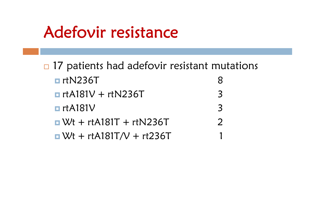## Adefovir resistance

n 17 patients had adefovir resistant mutations **□** rtN236T 8 $\blacksquare$  rtA181V + rtN236T 3**□** rtA181V 3 $\Box$  Wt + rtA181T + rtN236T  $\Box$  2  $\blacksquare$  Wt + rtA181T/V + rt236T 1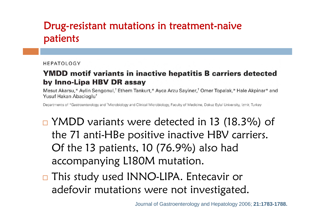#### Drug-resistant mutations in treatment-naive patients

#### HEPATOLOGY

#### **YMDD motif variants in inactive hepatitis B carriers detected** by Inno-Lipa HBV DR assay

Mesut Akarsu,\* Aylin Sengonul,<sup>†</sup> Ethem Tankurt,\* Ayca Arzu Sayiner,<sup>†</sup> Omer Topalak,\* Hale Akpinar\* and Yusuf Hakan Abacioglu<sup>t</sup>

Departments of \*Gastroenterology and <sup>†</sup>Microbiology and Clinical Microbiology, Faculty of Medicine, Dokuz Eylul University, Izmir, Turkey

- □ YMDD variants were detected in 13 (18.3%) of the 71 anti-HBe positive inactive HBV carriers. Of the 13 patients, 10 (76.9%) also had accompanying L180M mutation.
- □ This study used INNO-LIPA. Entecavir or adefovir mutations were not investigated.